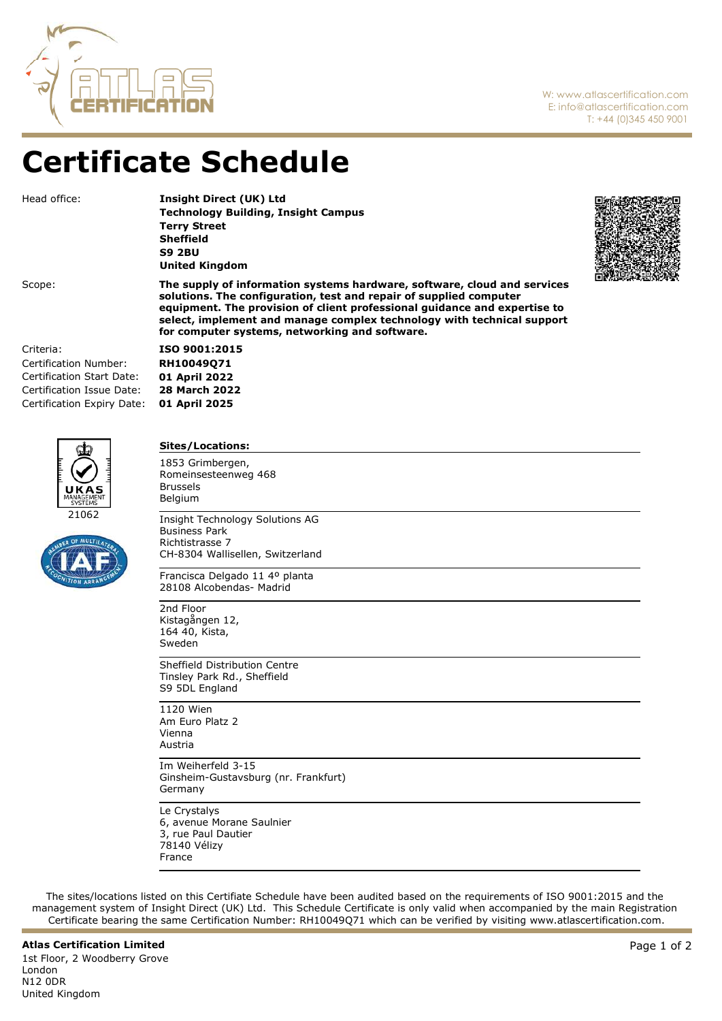

W: www.atlascertification.com E: info@atlascertification.com T: +44 (0)345 450 9001

## **Certificate Schedule**

Head office:

## **Insight Direct (UK) Ltd**

**Technology Building, Insight Campus Terry Street Sheffield S9 2BU United Kingdom**



Scope:

Criteria: **ISO 9001:2015** Certification Start Date: **01 April 2022** Certification Number: Certification Issue Date: **28 March 2022**

Certification Expiry Date: **01 April 2025**





**The supply of information systems hardware, software, cloud and services solutions. The configuration, test and repair of supplied computer equipment. The provision of client professional guidance and expertise to select, implement and manage complex technology with technical support for computer systems, networking and software.**

**Sites/Locations:** 1853 Grimbergen, Romeinsesteenweg 468 Brussels

**RH10049Q71**

Belgium

Insight Technology Solutions AG Business Park Richtistrasse 7 CH-8304 Wallisellen, Switzerland

Francisca Delgado 11 4º planta 28108 Alcobendas- Madrid

2nd Floor Kistagången 12, 164 40, Kista, Sweden

Sheffield Distribution Centre Tinsley Park Rd., Sheffield S9 5DL England

1120 Wien Am Euro Platz 2 Vienna Austria

Im Weiherfeld 3-15 Ginsheim-Gustavsburg (nr. Frankfurt) Germany

Le Crystalys 6, avenue Morane Saulnier 3, rue Paul Dautier 78140 Vélizy France

The sites/locations listed on this Certifiate Schedule have been audited based on the requirements of ISO 9001:2015 and the management system of Insight Direct (UK) Ltd. This Schedule Certificate is only valid when accompanied by the main Registration Certificate bearing the same Certification Number: RH10049Q71 which can be verified by visiting www.atlascertification.com.

1st Floor, 2 Woodberry Grove London N12 0DR United Kingdom